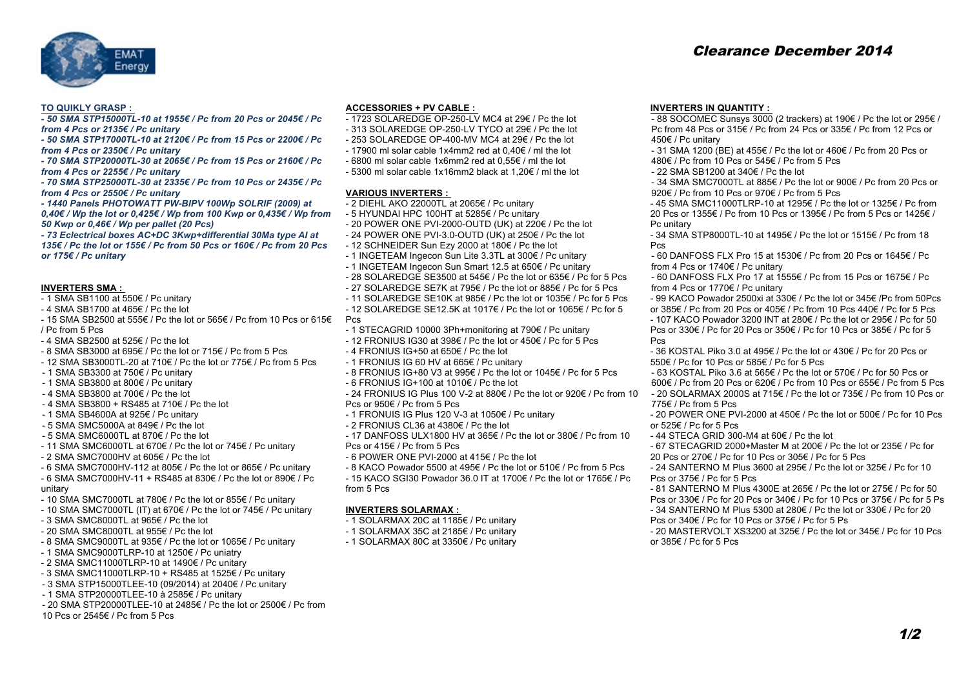# Clearance December 2014



### **TO QUIKLY GRASP :**

*- 50 SMA STP15000TL-10 at 1955€ / Pc from 20 Pcs or 2045€ / Pc from 4 Pcs or 2135€ / Pc unitary*

*- 50 SMA STP17000TL-10 at 2120€ / Pc from 15 Pcs or 2200€ / Pc from 4 Pcs or 2350€ / Pc unitary*

*- 70 SMA STP20000TL-30 at 2065€ / Pc from 15 Pcs or 2160€ / Pc from 4 Pcs or 2255€ / Pc unitary*

*- 70 SMA STP25000TL-30 at 2335€ / Pc from 10 Pcs or 2435€ / Pc from 4 Pcs or 2550€ / Pc unitary*

*- 1440 Panels PHOTOWATT PW-BIPV 100Wp SOLRIF (2009) at 0,40€ / Wp the lot or 0,425€ / Wp from 100 Kwp or 0,435€ / Wp from 50 Kwp or 0,46€ / Wp per pallet (20 Pcs)*

*- 73 Eclectrical boxes AC+DC 3Kwp+differential 30Ma type AI at 135€ / Pc the lot or 155€ / Pc from 50 Pcs or 160€ / Pc from 20 Pcs or 175€ / Pc unitary*

## **INVERTERS SMA :**

- 1 SMA SB1100 at 550€ / Pc unitary
- 4 SMA SB1700 at 465€ / Pc the lot
- 15 SMA SB2500 at 555€ / Pc the lot or 565€ / Pc from 10 Pcs or 615€ Pcs
- / Pc from 5 Pcs
- 4 SMA SB2500 at 525€ / Pc the lot
- 8 SMA SB3000 at 695€ / Pc the lot or 715€ / Pc from 5 Pcs
- 12 SMA SB3000TL-20 at 710€ / Pc the lot or 775€ / Pc from 5 Pcs
- 1 SMA SB3300 at 750€ / Pc unitary
- 1 SMA SB3800 at 800€ / Pc unitary
- 4 SMA SB3800 at 700€ / Pc the lot
- 4 SMA SB3800 + RS485 at 710€ / Pc the lot
- 1 SMA SB4600A at 925€ / Pc unitary
- 5 SMA SMC5000A at 849€ / Pc the lot
- 5 SMA SMC6000TL at 870€ / Pc the lot
- 11 SMA SMC6000TL at 670€ / Pc the lot or 745€ / Pc unitary
- 2 SMA SMC7000HV at 605€ / Pc the lot
- 6 SMA SMC7000HV-112 at 805€ / Pc the lot or 865€ / Pc unitary
- 6 SMA SMC7000HV-11 + RS485 at 830€ / Pc the lot or 890€ / Pc unitary
- 10 SMA SMC7000TL at 780€ / Pc the lot or 855€ / Pc unitary
- 10 SMA SMC7000TL (IT) at 670€ / Pc the lot or 745€ / Pc unitary
- 3 SMA SMC8000TL at  $965€$  / Pc the lot
- 20 SMA SMC8000TL at 955€ / Pc the lot
- 8 SMA SMC9000TL at 935€ / Pc the lot or 1065€ / Pc unitary
- 1 SMA SMC9000TLRP-10 at 1250€ / Pc uniatry
- 2 SMA SMC11000TLRP-10 at 1490€ / Pc unitary
- 3 SMA SMC11000TLRP-10 + RS485 at 1525€ / Pc unitary
- 3 SMA STP15000TLEE-10 (09/2014) at 2040€ / Pc unitary
- 1 SMA STP20000TLEE-10 à 2585€ / Pc unitary
- 20 SMA STP20000TLEE-10 at 2485€ / Pc the lot or 2500€ / Pc from
- 10 Pcs or 2545€ / Pc from 5 Pcs

#### **ACCESSORIES + PV CABLE :**

- 1723 SOLAREDGE OP-250-LV MC4 at 29€ / Pc the lot
- 313 SOLAREDGE OP-250-LV TYCO at 29€ / Pc the lot
- 253 SOLAREDGE OP-400-MV MC4 at 29€ / Pc the lot
- 17900 ml solar cable 1x4mm2 red at 0,40€ / ml the lot
- 6800 ml solar cable 1x6mm2 red at 0,55€ / ml the lot
- 5300 ml solar cable 1x16mm2 black at 1,20€ / ml the lot

#### **VARIOUS INVERTERS :**

- 2 DIEHL AKO 22000TL at 2065€ / Pc unitary
- 5 HYUNDAI HPC 100HT at 5285€ / Pc unitary
- 20 POWER ONE PVI-2000-OUTD (UK) at 220€ / Pc the lot
- $-$  24 POWER ONE PVI-3.0-OUTD (UK) at 250€ / Pc the lot
- 12 SCHNEIDER Sun Ezy 2000 at  $180€$  / Pc the lot
- 1 INGETEAM Ingecon Sun Lite 3.3TL at 300€ / Pc unitary
- 1 INGETEAM Ingecon Sun Smart 12.5 at 650€ / Pc unitary
- 28 SOLAREDGE SE3500 at 545€ / Pc the lot or 635€ / Pc for 5 Pcs
- 27 SOLAREDGE SE7K at 795€ / Pc the lot or 885€ / Pc for 5 Pcs
- 11 SOLAREDGE SE10K at 985€ / Pc the lot or 1035€ / Pc for 5 Pcs
- 12 SOLAREDGE SE12.5K at 1017€ / Pc the lot or 1065€ / Pc for 5
- 1 STECAGRID 10000 3Ph+monitoring at 790€ / Pc unitary
- 12 FRONIUS IG30 at 398€ / Pc the lot or 450€ / Pc for 5 Pcs
- 4 FRONIUS IG+50 at 650€ / Pc the lot
- 1 FRONIUS IG 60 HV at 665€ / Pc unitary
- 8 FRONIUS IG+80 V3 at 995€ / Pc the lot or 1045€ / Pc for 5 Pcs
- 6 FRONIUS IG+100 at 1010€ / Pc the lot
- 24 FRONIUS IG Plus 100 V-2 at 880€ / Pc the lot or 920€ / Pc from 10 Pcs or 950€ / Pc from 5 Pcs
- 1 FRONUIS IG Plus 120 V-3 at 1050€ / Pc unitary
- 2 FRONIUS CL36 at 4380€ / Pc the lot
- 17 DANFOSS ULX1800 HV at 365€ / Pc the lot or 380€ / Pc from 10 Pcs or 415€ / Pc from 5 Pcs
- 6 POWER ONE PVI-2000 at 415€ / Pc the lot
- 8 KACO Powador 5500 at 495€ / Pc the lot or 510€ / Pc from 5 Pcs
- 15 KACO SGI30 Powador 36.0 IT at 1700€ / Pc the lot or 1765€ / Pc from 5 Pcs

## **INVERTERS SOLARMAX :**

- 1 SOLARMAX 20C at 1185€ / Pc unitary
- 1 SOLARMAX 35C at 2185€ / Pc unitary
- 1 SOLARMAX 80C at 3350€ / Pc unitary

# **INVERTERS IN QUANTITY :**

- $-88$  SOCOMEC Sunsys 3000 (2 trackers) at 190€ / Pc the lot or 295€ / Pc from 48 Pcs or 315€ / Pc from 24 Pcs or 335€ / Pc from 12 Pcs or 450€ / Pc unitary
- 31 SMA 1200 (BE) at 455€ / Pc the lot or 460€ / Pc from 20 Pcs or 480€ / Pc from 10 Pcs or 545€ / Pc from 5 Pcs
- 22 SMA SB1200 at 340€ / Pc the lot
- 34 SMA SMC7000TL at 885€ / Pc the lot or 900€ / Pc from 20 Pcs or 920€ / Pc from 10 Pcs or 970€ / Pc from 5 Pcs
- 45 SMA SMC11000TLRP-10 at 1295€ / Pc the lot or 1325€ / Pc from 20 Pcs or 1355€ / Pc from 10 Pcs or 1395€ / Pc from 5 Pcs or 1425€ / Pc unitary
- 34 SMA STP8000TL-10 at 1495€ / Pc the lot or 1515€ / Pc from 18 Pcs
- 60 DANFOSS FLX Pro 15 at 1530€ / Pc from 20 Pcs or 1645€ / Pc from 4 Pcs or 1740€ / Pc unitary
- 60 DANFOSS FLX Pro 17 at 1555€ / Pc from 15 Pcs or 1675€ / Pc from 4 Pcs or 1770€ / Pc unitary
- 99 KACO Powador 2500xi at 330€ / Pc the lot or 345€ /Pc from 50Pcs
- or 385€ / Pc from 20 Pcs or 405€ / Pc from 10 Pcs 440€ / Pc for 5 Pcs - 107 KACO Powador 3200 INT at 280€ / Pc the lot or 295€ / Pc for 50 Pcs or 330€ / Pc for 20 Pcs or 350€ / Pc for 10 Pcs or 385€ / Pc for 5 Pcs
- 36 KOSTAL Piko 3.0 at 495€ / Pc the lot or 430€ / Pc for 20 Pcs or 550€ / Pc for 10 Pcs or 585€ / Pc for 5 Pcs
- 63 KOSTAL Piko 3.6 at 565€ / Pc the lot or 570€ / Pc for 50 Pcs or
- 600€ / Pc from 20 Pcs or 620€ / Pc from 10 Pcs or 655€ / Pc from 5 Pcs - 20 SOLARMAX 2000S at 715€ / Pc the lot or 735€ / Pc from 10 Pcs or 775€ / Pc from 5 Pcs
- 20 POWER ONE PVI-2000 at 450€ / Pc the lot or 500€ / Pc for 10 Pcs or 525€ / Pc for 5 Pcs
- 44 STECA GRID 300-M4 at 60€ / Pc the lot
- 67 STECAGRID 2000+Master M at 200€ / Pc the lot or 235€ / Pc for 20 Pcs or 270€ / Pc for 10 Pcs or 305€ / Pc for 5 Pcs
- 24 SANTERNO M Plus 3600 at 295€ / Pc the lot or 325€ / Pc for 10 Pcs or 375€ / Pc for 5 Pcs
- 81 SANTERNO M Plus 4300E at 265€ / Pc the lot or 275€ / Pc for 50 Pcs or 330€ / Pc for 20 Pcs or 340€ / Pc for 10 Pcs or 375€ / Pc for 5 Ps - 34 SANTERNO M Plus 5300 at 280€ / Pc the lot or 330€ / Pc for 20 Pcs or 340€ / Pc for 10 Pcs or 375€ / Pc for 5 Ps
- 20 MASTERVOLT XS3200 at 325€ / Pc the lot or 345€ / Pc for 10 Pcs or 385€ / Pc for 5 Pcs